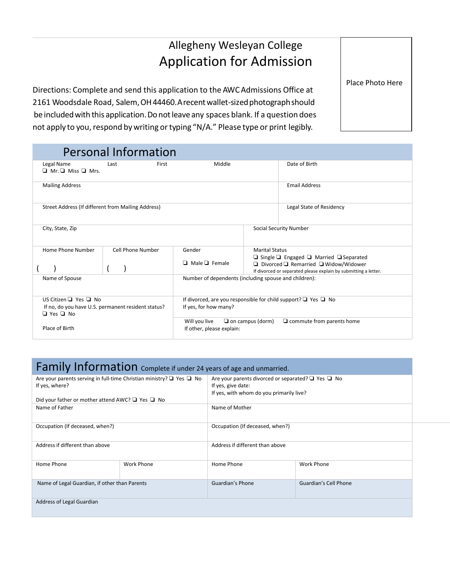# Allegheny Wesleyan College Application for Admission

Directions: Complete and send this application to the AWC Admissions Office at 2161 Woodsdale Road, Salem, OH 44460. A recent wallet-sized photograph should be included with this application. Do not leave any spaces blank. If a question does not apply to you, respond bywriting or typing "N/A." Please type or print legibly.

| <b>Personal Information</b>                                                                                   |                   |                                                                                                   |                         |                                                                                                                                                                                          |  |  |
|---------------------------------------------------------------------------------------------------------------|-------------------|---------------------------------------------------------------------------------------------------|-------------------------|------------------------------------------------------------------------------------------------------------------------------------------------------------------------------------------|--|--|
| Legal Name<br>$\Box$ Mr. $\Box$ Miss $\Box$ Mrs.                                                              | Last<br>First     | Middle                                                                                            |                         | Date of Birth                                                                                                                                                                            |  |  |
| <b>Mailing Address</b>                                                                                        |                   | <b>Email Address</b>                                                                              |                         |                                                                                                                                                                                          |  |  |
| Street Address (If different from Mailing Address)                                                            |                   |                                                                                                   |                         | Legal State of Residency                                                                                                                                                                 |  |  |
| City, State, Zip                                                                                              |                   |                                                                                                   |                         | <b>Social Security Number</b>                                                                                                                                                            |  |  |
| Home Phone Number                                                                                             | Cell Phone Number | Gender<br>$\Box$ Male $\Box$ Female                                                               | <b>Marital Status</b>   | $\Box$ Single $\Box$ Engaged $\Box$ Married $\Box$ Separated<br>$\Box$ Divorced $\Box$ Remarried $\Box$ Widow/Widower<br>If divorced or separated please explain by submitting a letter. |  |  |
| Name of Spouse                                                                                                |                   | Number of dependents (including spouse and children):                                             |                         |                                                                                                                                                                                          |  |  |
| US Citizen $\Box$ Yes $\Box$ No<br>If no, do you have U.S. permanent resident status?<br>$\Box$ Yes $\Box$ No |                   | If divorced, are you responsible for child support? $\Box$ Yes $\Box$ No<br>If yes, for how many? |                         |                                                                                                                                                                                          |  |  |
| Place of Birth                                                                                                |                   | Will you live<br>If other, please explain:                                                        | $\Box$ on campus (dorm) | $\Box$ commute from parents home                                                                                                                                                         |  |  |

| <b>Family Information</b> complete if under 24 years of age and unmarried.                       |                   |                                                                                                                                |                       |  |  |
|--------------------------------------------------------------------------------------------------|-------------------|--------------------------------------------------------------------------------------------------------------------------------|-----------------------|--|--|
| Are your parents serving in full-time Christian ministry? $\Box$ Yes $\Box$ No<br>If yes, where? |                   | Are your parents divorced or separated? $\Box$ Yes $\Box$ No<br>If yes, give date:<br>If yes, with whom do you primarily live? |                       |  |  |
| Did your father or mother attend AWC? $\Box$ Yes $\Box$ No<br>Name of Father                     |                   | Name of Mother                                                                                                                 |                       |  |  |
| Occupation (If deceased, when?)                                                                  |                   | Occupation (If deceased, when?)                                                                                                |                       |  |  |
| Address if different than above                                                                  |                   | Address if different than above                                                                                                |                       |  |  |
| Home Phone                                                                                       | <b>Work Phone</b> | Home Phone                                                                                                                     | Work Phone            |  |  |
| Name of Legal Guardian, if other than Parents                                                    |                   | Guardian's Phone                                                                                                               | Guardian's Cell Phone |  |  |
| Address of Legal Guardian                                                                        |                   |                                                                                                                                |                       |  |  |

Place Photo Here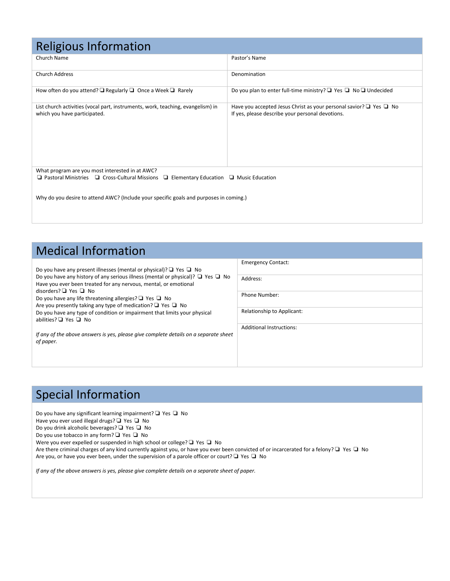# Religious Information

| Church Name                                                                                                                                                     | Pastor's Name                                                                                                                    |  |  |  |  |
|-----------------------------------------------------------------------------------------------------------------------------------------------------------------|----------------------------------------------------------------------------------------------------------------------------------|--|--|--|--|
| <b>Church Address</b>                                                                                                                                           | Denomination                                                                                                                     |  |  |  |  |
| How often do you attend? $\Box$ Regularly $\Box$ Once a Week $\Box$ Rarely                                                                                      | Do you plan to enter full-time ministry? $\Box$ Yes $\Box$ No $\Box$ Undecided                                                   |  |  |  |  |
| List church activities (vocal part, instruments, work, teaching, evangelism) in<br>which you have participated.                                                 | Have you accepted Jesus Christ as your personal savior? $\Box$ Yes $\Box$ No<br>If yes, please describe your personal devotions. |  |  |  |  |
| What program are you most interested in at AWC?<br>$\Box$ Pastoral Ministries $\Box$ Cross-Cultural Missions $\Box$ Elementary Education $\Box$ Music Education |                                                                                                                                  |  |  |  |  |
| Why do you desire to attend AWC? (Include your specific goals and purposes in coming.)                                                                          |                                                                                                                                  |  |  |  |  |

| <b>Medical Information</b>                                                                                                                                                                                                                                                                                                                                                                                                                                    |                                 |
|---------------------------------------------------------------------------------------------------------------------------------------------------------------------------------------------------------------------------------------------------------------------------------------------------------------------------------------------------------------------------------------------------------------------------------------------------------------|---------------------------------|
| Do you have any present illnesses (mental or physical)? $\Box$ Yes $\Box$ No                                                                                                                                                                                                                                                                                                                                                                                  | <b>Emergency Contact:</b>       |
| Do you have any history of any serious illness (mental or physical)? $\Box$ Yes $\Box$ No<br>Have you ever been treated for any nervous, mental, or emotional<br>disorders? $\Box$ Yes $\Box$ No<br>Do you have any life threatening allergies? $\Box$ Yes $\Box$ No<br>Are you presently taking any type of medication? $\Box$ Yes $\Box$ No<br>Do you have any type of condition or impairment that limits your physical<br>abilities? $\Box$ Yes $\Box$ No | Address:                        |
|                                                                                                                                                                                                                                                                                                                                                                                                                                                               | Phone Number:                   |
|                                                                                                                                                                                                                                                                                                                                                                                                                                                               | Relationship to Applicant:      |
|                                                                                                                                                                                                                                                                                                                                                                                                                                                               | <b>Additional Instructions:</b> |
| If any of the above answers is yes, please give complete details on a separate sheet<br>of paper.                                                                                                                                                                                                                                                                                                                                                             |                                 |
|                                                                                                                                                                                                                                                                                                                                                                                                                                                               |                                 |

# Special Information

Do you have any significant learning impairment?  $\square$  Yes  $\square$  No

Have you ever used illegal drugs?  $\Box$  Yes  $\Box$  No

Do you drink alcoholic beverages?  $\square$  Yes  $\square$  No

Do you use tobacco in any form?  $\Box$  Yes  $\Box$  No

Were you ever expelled or suspended in high school or college?  $\Box$  Yes  $\Box$  No

Are there criminal charges of any kind currently against you, or have you ever been convicted of or incarcerated for a felony?  $\Box$  Yes  $\Box$  No

Are you, or have you ever been, under the supervision of a parole officer or court?  $\Box$  Yes  $\Box$  No

*If any of the above answers is yes, please give complete details on a separate sheet of paper.*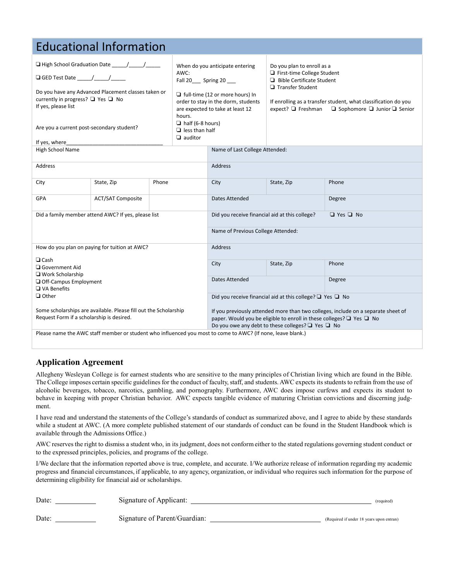| <b>Educational Information</b>                                                                                                                                                                                                        |                                                     |                                                                                                                                                                                                                                                                   |                                |                                                                                                                                                                                                                                                               |            |        |  |
|---------------------------------------------------------------------------------------------------------------------------------------------------------------------------------------------------------------------------------------|-----------------------------------------------------|-------------------------------------------------------------------------------------------------------------------------------------------------------------------------------------------------------------------------------------------------------------------|--------------------------------|---------------------------------------------------------------------------------------------------------------------------------------------------------------------------------------------------------------------------------------------------------------|------------|--------|--|
| $\Box$ GED Test Date $\qquad$ / $\qquad$ /<br>Do you have any Advanced Placement classes taken or<br>currently in progress? $\Box$ Yes $\Box$ No<br>If yes, please list<br>Are you a current post-secondary student?<br>If yes, where |                                                     | When do you anticipate entering<br>AWC:<br>Fall 20 Spring 20<br>$\Box$ full-time (12 or more hours) In<br>order to stay in the dorm, students<br>are expected to take at least 12<br>hours.<br>$\Box$ half (6-8 hours)<br>$\Box$ less than half<br>$\Box$ auditor |                                | Do you plan to enroll as a<br>First-time College Student<br>Bible Certificate Student<br>$\Box$ Transfer Student<br>If enrolling as a transfer student, what classification do you<br>$\Box$ Sophomore $\Box$ Junior $\Box$ Senior<br>expect? $\Box$ Freshman |            |        |  |
| High School Name                                                                                                                                                                                                                      |                                                     |                                                                                                                                                                                                                                                                   | Name of Last College Attended: |                                                                                                                                                                                                                                                               |            |        |  |
| Address                                                                                                                                                                                                                               |                                                     |                                                                                                                                                                                                                                                                   | Address                        |                                                                                                                                                                                                                                                               |            |        |  |
| City                                                                                                                                                                                                                                  | State, Zip                                          | Phone                                                                                                                                                                                                                                                             | City                           |                                                                                                                                                                                                                                                               | State, Zip | Phone  |  |
| GPA                                                                                                                                                                                                                                   | <b>ACT/SAT Composite</b>                            |                                                                                                                                                                                                                                                                   |                                | Dates Attended                                                                                                                                                                                                                                                |            | Degree |  |
|                                                                                                                                                                                                                                       | Did a family member attend AWC? If yes, please list |                                                                                                                                                                                                                                                                   |                                | Did you receive financial aid at this college?<br>$\Box$ Yes $\Box$ No                                                                                                                                                                                        |            |        |  |
|                                                                                                                                                                                                                                       |                                                     |                                                                                                                                                                                                                                                                   |                                | Name of Previous College Attended:                                                                                                                                                                                                                            |            |        |  |
|                                                                                                                                                                                                                                       | How do you plan on paying for tuition at AWC?       |                                                                                                                                                                                                                                                                   |                                | Address                                                                                                                                                                                                                                                       |            |        |  |
| $\Box$ Cash<br>□ Government Aid                                                                                                                                                                                                       |                                                     |                                                                                                                                                                                                                                                                   |                                | City                                                                                                                                                                                                                                                          | State, Zip | Phone  |  |
| □ Work Scholarship<br>Off-Campus Employment<br>□ VA Benefits                                                                                                                                                                          |                                                     |                                                                                                                                                                                                                                                                   | Dates Attended<br>Degree       |                                                                                                                                                                                                                                                               |            |        |  |
| $\Box$ Other                                                                                                                                                                                                                          |                                                     |                                                                                                                                                                                                                                                                   |                                | Did you receive financial aid at this college? $\Box$ Yes $\Box$ No                                                                                                                                                                                           |            |        |  |
| Some scholarships are available. Please fill out the Scholarship<br>Request Form if a scholarship is desired.                                                                                                                         |                                                     | If you previously attended more than two colleges, include on a separate sheet of<br>paper. Would you be eligible to enroll in these colleges? □ Yes □ No<br>Do you owe any debt to these colleges? $\Box$ Yes $\Box$ No                                          |                                |                                                                                                                                                                                                                                                               |            |        |  |
| Please name the AWC staff member or student who influenced you most to come to AWC? (If none, leave blank.)                                                                                                                           |                                                     |                                                                                                                                                                                                                                                                   |                                |                                                                                                                                                                                                                                                               |            |        |  |

### **Application Agreement**

Allegheny Wesleyan College is for earnest students who are sensitive to the many principles of Christian living which are found in the Bible. The College imposes certain specific guidelines for the conduct of faculty, staff, and students. AWC expects its students to refrain from the use of alcoholic beverages, tobacco, narcotics, gambling, and pornography. Furthermore, AWC does impose curfews and expects its student to behave in keeping with proper Christian behavior. AWC expects tangible evidence of maturing Christian convictions and discerning judgment.

I have read and understand the statements of the College's standards of conduct as summarized above, and I agree to abide by these standards while a student at AWC. (A more complete published statement of our standards of conduct can be found in the Student Handbook which is available through the Admissions Office.)

AWC reserves the right to dismiss a student who, in its judgment, does not conform either to the stated regulations governing student conduct or to the expressed principles, policies, and programs of the college.

I/We declare that the information reported above is true, complete, and accurate. I/We authorize release of information regarding my academic progress and financial circumstances, if applicable, to any agency, organization, or individual who requires such information for the purpose of determining eligibility for financial aid or scholarships.

| Date: | Signature of Applicant:       | (required)                               |
|-------|-------------------------------|------------------------------------------|
| Date: | Signature of Parent/Guardian: | (Required if under 18 years upon entran) |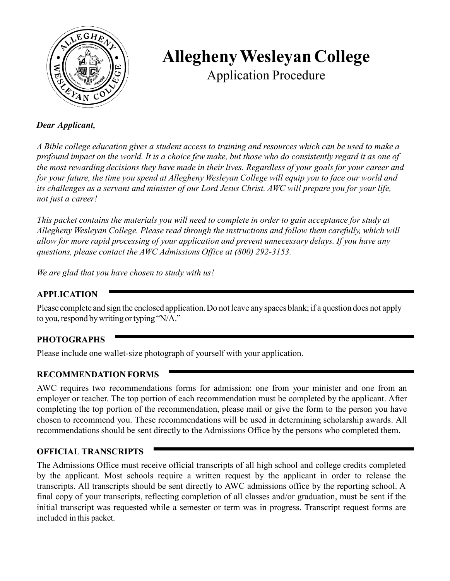

# **Allegheny Wesleyan College**

Application Procedure

## *Dear Applicant,*

*A Bible college education gives a student access to training and resources which can be used to make a profound impact on the world. It is a choice few make, but those who do consistently regard it as one of the most rewarding decisions they have made in their lives. Regardless of your goals for your career and for your future, the time you spend at Allegheny Wesleyan College will equip you to face our world and its challenges as a servant and minister of our Lord Jesus Christ. AWC will prepare you for your life, not just a career!*

*This packet contains the materials you will need to complete in order to gain acceptance for study at Allegheny Wesleyan College. Please read through the instructions and follow them carefully, which will allow for more rapid processing of your application and prevent unnecessary delays. If you have any questions, please contact the AWC Admissions Office at (800) 292-3153.*

*We are glad that you have chosen to study with us!*

# **APPLICATION**

Please complete and sign the enclosed application. Do not leave any spaces blank; if a question does not apply to you, respond by writing or typing "N/A."

# **PHOTOGRAPHS**

Please include one wallet-size photograph of yourself with your application.

# **RECOMMENDATION FORMS**

AWC requires two recommendations forms for admission: one from your minister and one from an employer or teacher. The top portion of each recommendation must be completed by the applicant. After completing the top portion of the recommendation, please mail or give the form to the person you have chosen to recommend you. These recommendations will be used in determining scholarship awards. All recommendations should be sent directly to the Admissions Office by the persons who completed them.

# **OFFICIAL TRANSCRIPTS**

The Admissions Office must receive official transcripts of all high school and college credits completed by the applicant. Most schools require a written request by the applicant in order to release the transcripts. All transcripts should be sent directly to AWC admissions office by the reporting school. A final copy of your transcripts, reflecting completion of all classes and/or graduation, must be sent if the initial transcript was requested while a semester or term was in progress. Transcript request forms are included in this packet.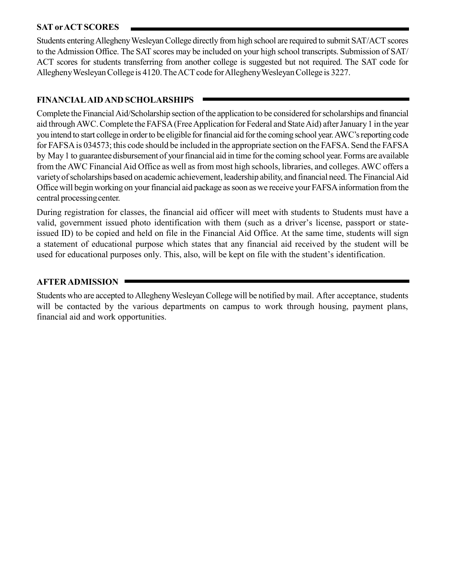### **SAT or ACT SCORES**

Students entering Allegheny Wesleyan College directly from high school are required to submit SAT/ACT scores to the Admission Office. The SAT scores may be included on your high school transcripts. Submission of SAT/ ACT scores for students transferring from another college is suggested but not required. The SAT code for Allegheny Wesleyan College is 4120. The ACT code for Allegheny Wesleyan College is 3227.

# **FINANCIAL AID AND SCHOLARSHIPS**

Complete the Financial Aid/Scholarship section of the application to be considered for scholarships and financial aid through AWC. Complete the FAFSA (Free Application for Federal and State Aid) after January 1 in the year you intend to start college in order to be eligible for financial aid for the coming school year. AWC's reporting code for FAFSA is 034573; this code should be included in the appropriate section on the FAFSA. Send the FAFSA by May 1 to guarantee disbursement of your financial aid in time for the coming school year. Forms are available from the AWC Financial Aid Office as well as from most high schools, libraries, and colleges. AWC offers a variety of scholarships based on academic achievement, leadership ability, and financial need. The Financial Aid Office will begin working on your financial aid package as soon as we receive your FAFSA information from the central processing center.

During registration for classes, the financial aid officer will meet with students to Students must have a valid, government issued photo identification with them (such as a driver's license, passport or stateissued ID) to be copied and held on file in the Financial Aid Office. At the same time, students will sign a statement of educational purpose which states that any financial aid received by the student will be used for educational purposes only. This, also, will be kept on file with the student's identification.

# **AFTER ADMISSION**

Students who are accepted to Allegheny Wesleyan College will be notified by mail. After acceptance, students will be contacted by the various departments on campus to work through housing, payment plans, financial aid and work opportunities.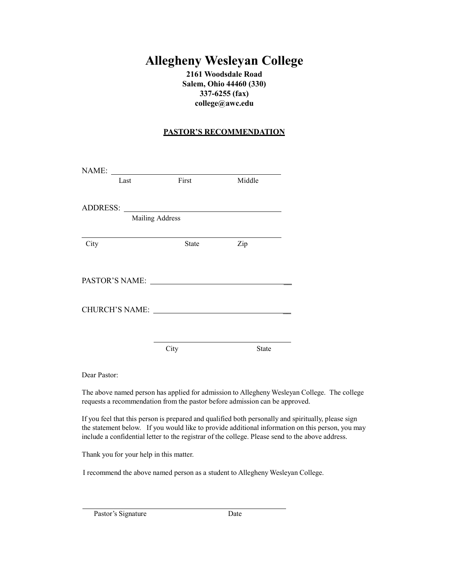# **Allegheny Wesleyan College**

**2161 Woodsdale Road Salem, Ohio 44460 (330) 337-6255 (fax[\)](mailto:college@awc.edu)  [college@awc.edu](mailto:college@awc.edu)**

### **PASTOR'S RECOMMENDATION**

| NAME:           |              |              |
|-----------------|--------------|--------------|
| Last            | First        | Middle       |
|                 |              |              |
|                 |              |              |
| Mailing Address |              |              |
|                 |              |              |
| City            | <b>State</b> | Zip          |
|                 |              |              |
| PASTOR'S NAME:  |              |              |
|                 |              |              |
|                 |              |              |
|                 |              |              |
|                 |              |              |
|                 | City         | <b>State</b> |

Dear Pastor:

The above named person has applied for admission to Allegheny Wesleyan College. The college requests a recommendation from the pastor before admission can be approved.

If you feel that this person is prepared and qualified both personally and spiritually, please sign the statement below. If you would like to provide additional information on this person, you may include a confidential letter to the registrar of the college. Please send to the above address.

Thank you for your help in this matter.

I recommend the above named person as a student to Allegheny Wesleyan College.

Pastor's Signature Date

l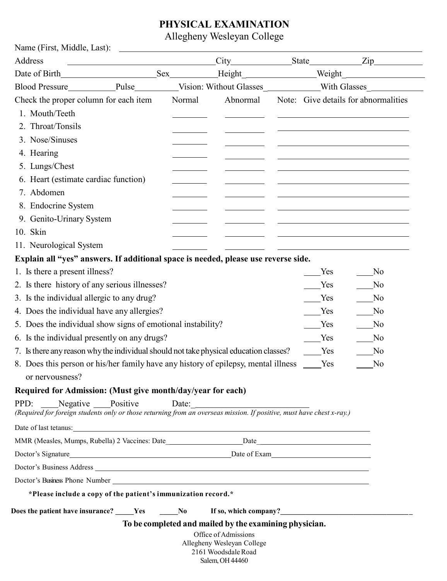# **PHYSICAL EXAMINATION**

Allegheny Wesleyan College

| Address                                                                                                               | <u> 2002 - Johann John Stone, meil in der Stone aus der Stone aus der Stone aus der Stone aus der Stone aus der S</u> |        |                                                        |     | City State Zip                                                                                                        |
|-----------------------------------------------------------------------------------------------------------------------|-----------------------------------------------------------------------------------------------------------------------|--------|--------------------------------------------------------|-----|-----------------------------------------------------------------------------------------------------------------------|
|                                                                                                                       |                                                                                                                       |        |                                                        |     |                                                                                                                       |
|                                                                                                                       |                                                                                                                       |        |                                                        |     | Blood Pressure Nullee Vision: Without Glasses Nullee Vision 2014                                                      |
| Check the proper column for each item                                                                                 |                                                                                                                       | Normal | Abnormal                                               |     | Note: Give details for abnormalities                                                                                  |
| 1. Mouth/Teeth                                                                                                        |                                                                                                                       |        |                                                        |     |                                                                                                                       |
| 2. Throat/Tonsils                                                                                                     |                                                                                                                       |        |                                                        |     |                                                                                                                       |
| 3. Nose/Sinuses                                                                                                       |                                                                                                                       |        |                                                        |     |                                                                                                                       |
| 4. Hearing                                                                                                            |                                                                                                                       |        |                                                        |     |                                                                                                                       |
| 5. Lungs/Chest                                                                                                        |                                                                                                                       |        |                                                        |     | <u> 1989 - Johann Barn, mars ann an t-Amhain Aonaichte ann an t-Aonaichte ann an t-Aonaichte ann an t-Aonaichte a</u> |
| 6. Heart (estimate cardiac function)                                                                                  |                                                                                                                       |        |                                                        |     |                                                                                                                       |
| 7. Abdomen                                                                                                            |                                                                                                                       |        |                                                        |     |                                                                                                                       |
| 8. Endocrine System                                                                                                   |                                                                                                                       |        |                                                        |     |                                                                                                                       |
| 9. Genito-Urinary System                                                                                              |                                                                                                                       |        |                                                        |     |                                                                                                                       |
| 10. Skin                                                                                                              |                                                                                                                       |        |                                                        |     |                                                                                                                       |
| 11. Neurological System                                                                                               |                                                                                                                       |        |                                                        |     |                                                                                                                       |
| Explain all "yes" answers. If additional space is needed, please use reverse side.                                    |                                                                                                                       |        |                                                        |     |                                                                                                                       |
| 1. Is there a present illness?                                                                                        |                                                                                                                       |        |                                                        |     | N <sub>0</sub><br>Yes                                                                                                 |
| 2. Is there history of any serious illnesses?                                                                         |                                                                                                                       |        |                                                        | Yes | N <sub>0</sub>                                                                                                        |
| 3. Is the individual allergic to any drug?                                                                            |                                                                                                                       |        |                                                        | Yes | N <sub>0</sub>                                                                                                        |
| 4. Does the individual have any allergies?                                                                            |                                                                                                                       |        |                                                        | Yes | N <sub>0</sub>                                                                                                        |
| 5. Does the individual show signs of emotional instability?                                                           |                                                                                                                       |        |                                                        | Yes | N <sub>0</sub>                                                                                                        |
| 6. Is the individual presently on any drugs?                                                                          |                                                                                                                       |        |                                                        |     | Yes<br>N <sub>0</sub>                                                                                                 |
| 7. Is there any reason why the individual should not take physical education classes?                                 |                                                                                                                       |        |                                                        |     | Yes<br>N <sub>0</sub>                                                                                                 |
| 8. Does this person or his/her family have any history of epilepsy, mental illness                                    |                                                                                                                       |        |                                                        | Yes | N <sub>0</sub>                                                                                                        |
| or nervousness?                                                                                                       |                                                                                                                       |        |                                                        |     |                                                                                                                       |
| Required for Admission: (Must give month/day/year for each)                                                           |                                                                                                                       |        |                                                        |     |                                                                                                                       |
| PPD: Negative Positive                                                                                                |                                                                                                                       |        |                                                        |     |                                                                                                                       |
| (Required for foreign students only or those returning from an overseas mission. If positive, must have chest x-ray.) |                                                                                                                       |        |                                                        |     |                                                                                                                       |
| Date of last tetanus:                                                                                                 |                                                                                                                       |        |                                                        |     |                                                                                                                       |
|                                                                                                                       |                                                                                                                       |        |                                                        |     |                                                                                                                       |
|                                                                                                                       |                                                                                                                       |        |                                                        |     |                                                                                                                       |
|                                                                                                                       |                                                                                                                       |        |                                                        |     |                                                                                                                       |
|                                                                                                                       |                                                                                                                       |        |                                                        |     |                                                                                                                       |
| *Please include a copy of the patient's immunization record.*                                                         |                                                                                                                       |        |                                                        |     |                                                                                                                       |
|                                                                                                                       |                                                                                                                       |        |                                                        |     |                                                                                                                       |
|                                                                                                                       |                                                                                                                       |        | To be completed and mailed by the examining physician. |     |                                                                                                                       |
|                                                                                                                       |                                                                                                                       |        | Office of Admissions<br>Allegheny Wesleyan College     |     |                                                                                                                       |
|                                                                                                                       |                                                                                                                       |        | 2161 Woodsdale Road                                    |     |                                                                                                                       |
|                                                                                                                       |                                                                                                                       |        | Salem, OH 44460                                        |     |                                                                                                                       |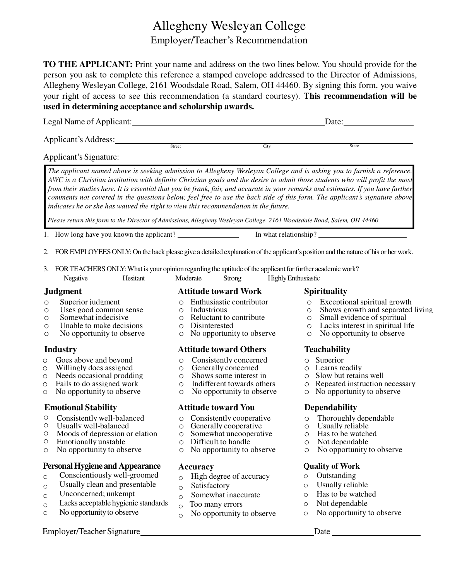# Allegheny Wesleyan College Employer/Teacher's Recommendation

**TO THE APPLICANT:** Print your name and address on the two lines below. You should provide for the person you ask to complete this reference a stamped envelope addressed to the Director of Admissions, Allegheny Wesleyan College, 2161 Woodsdale Road, Salem, OH 44460. By signing this form, you waive your right of access to see this recommendation (a standard courtesy). **This recommendation will be used in determining acceptance and scholarship awards.**

| Legal Name of Applicant: |        |      | Date: |  |
|--------------------------|--------|------|-------|--|
| Applicant's Address:     | Street | City | State |  |
|                          |        |      |       |  |

Applicant's Signature:

*The applicant named above is seeking admission to Allegheny Wesleyan College and is asking you to furnish a reference. AWC is a Christian institution with definite Christian goals and the desire to admit those students who will profit the most from their studies here. It is essential that you be frank, fair, and accurate in your remarks and estimates. If you have further comments not covered in the questions below, feel free to use the back side of this form. The applicant's signature above indicates he or she has waived the right to view this recommendation in the future.* 

*Please return this form to the Director of Admissions, Allegheny Wesleyan College, 2161 Woodsdale Road, Salem, OH 44460*

1. How long have you known the applicant? In what relationship?

- 2. FOR EMPLOYEES ONLY: On the back please give a detailed explanation of the applicant's position and the nature of his or her work.
- 3. FOR TEACHERS ONLY: What is your opinion regarding the aptitude of the applicant for further academic work? ap Negative Hesitant Moderate Strong Highly Enthusiastic

- 
- 
- 
- o Unable to make decisions o Disinterested o Lacks interest in spiritual life
- 

- o Goes above and beyond o Consistently concerned o Superior
- 
- o Needs occasional prodding o Shows some interest in o  $\circ$  Fails to do assigned work o Indifferent towards others o
- 
- $\circ$  No opportunity to observe

- $\circ$  Consistently well-balanced  $\circ$  Consistently cooperative  $\circ$  Thoroughly dependable  $\circ$  Usually well-balanced  $\circ$  Generally cooperative  $\circ$  Usually reliable
- 
- O Usually well-balanced o Generally cooperative o Usually reliable <br>
⊙ Moods of depression or elation o Somewhat uncooperative o Has to be watched  $\circ$  Moods of depression or elation  $\circ$  Somewhat uncooperative  $\circ$  Has to be watched  $\circ$  Emotionally unstable  $\circ$  Difficult to handle  $\circ$  Not dependable
- 
- 

### **Personal Hygiene and Appearance**

- o Conscientiously well-groomed
- $\circ$  Usually clean and presentable
- o Unconcerned; unkempt
- o Lacks acceptable hygienic standards
- o No opportunity to observe

### Employer/Teacher Signature Date Date Date

### **Judgment Attitude toward Work Spirituality**

- 
- 
- 
- 
- 

### **Industry Attitude toward Others Teachability**

- 
- Willingly does assigned  $\circ$  Generally concerned  $\circ$  Learns readily<br>Needs occasional prodding  $\circ$  Shows some interest in  $\circ$  Slow but retains well
	-
	-
	-

### **Emotional Stability Attitude toward You Dependability**

- 
- 
- 
- 
- Emotionally unstable  $\circ$  Difficult to handle  $\circ$  Not dependable<br>No opportunity to observe  $\circ$  No opportunity to observe  $\circ$  No opportunity to observe o No opportunity to observe o No opportunity to observe o No opportunity to observe

### **Accuracy**

- o High degree of accuracy
- $\circ$  Satisfactory
- $\circ$  Somewhat inaccurate
- o Too many errors
- $\circ$  No opportunity to observe

- o Superior judgment o Enthusiastic contributor o Exceptional spiritual growth
	- Uses good common sense  $\overline{O}$  Industrious  $\overline{O}$  Shows growth and separated living Somewhat indecisive  $\overline{O}$  Reluctant to contribute  $\overline{O}$  Small evidence of spiritual
- o Somewhat indecisive o Reluctant to contribute o Small evidence of spiritual
	-
	- $\circ$  No opportunity to observe

- 
- 
- 
- 
- o Fails to do assigned work o Indifferent towards others o Repeated instruction necessary<br>
o No opportunity to observe o No opportunity to observe o No opportunity to observe

- 
- 
- 
- 
- 

### **Quality of Work**

- o Outstanding
- o Usually reliable
- o Has to be watched
- o Not dependable
- o No opportunity to observe
	-